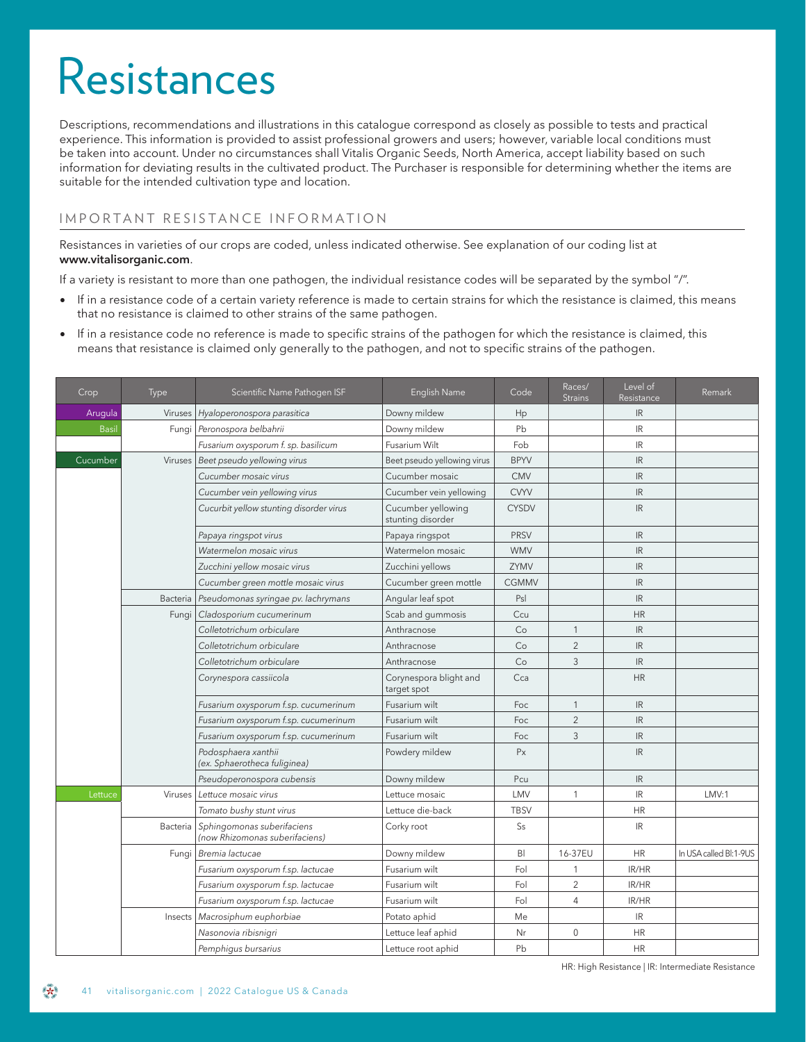# Resistances

Descriptions, recommendations and illustrations in this catalogue correspond as closely as possible to tests and practical experience. This information is provided to assist professional growers and users; however, variable local conditions must be taken into account. Under no circumstances shall Vitalis Organic Seeds, North America, accept liability based on such information for deviating results in the cultivated product. The Purchaser is responsible for determining whether the items are suitable for the intended cultivation type and location.

## IMPORTANT RESISTANCE INFORMATION

Resistances in varieties of our crops are coded, unless indicated otherwise. See explanation of our coding list at **www.vitalisorganic.com**.

If a variety is resistant to more than one pathogen, the individual resistance codes will be separated by the symbol "/".

- If in a resistance code of a certain variety reference is made to certain strains for which the resistance is claimed, this means that no resistance is claimed to other strains of the same pathogen.
- If in a resistance code no reference is made to specific strains of the pathogen for which the resistance is claimed, this means that resistance is claimed only generally to the pathogen, and not to specific strains of the pathogen.

| Crop         | Type            | Scientific Name Pathogen ISF                                 | English Name                            | Code         | Races/<br><b>Strains</b> | Level of<br>Resistance            | Remark                 |
|--------------|-----------------|--------------------------------------------------------------|-----------------------------------------|--------------|--------------------------|-----------------------------------|------------------------|
| Arugula      | Viruses         | Hyaloperonospora parasitica                                  | Downy mildew                            | Hp           |                          | IR.                               |                        |
| <b>Basil</b> | Fungi           | Peronospora belbahrii                                        | Downy mildew                            | Pb           |                          | IR.                               |                        |
|              |                 | Fusarium oxysporum f. sp. basilicum                          | Fusarium Wilt                           | Fob          |                          | IR                                |                        |
| Cucumber     |                 | Viruses   Beet pseudo yellowing virus                        | Beet pseudo yellowing virus             | <b>BPYV</b>  |                          | IR                                |                        |
|              |                 | Cucumber mosaic virus                                        | Cucumber mosaic                         | <b>CMV</b>   |                          | $\ensuremath{\mathsf{IR}}\xspace$ |                        |
|              |                 | Cucumber vein yellowing virus                                | Cucumber vein yellowing                 | <b>CVYV</b>  |                          | IR                                |                        |
|              |                 | Cucurbit yellow stunting disorder virus                      | Cucumber yellowing<br>stunting disorder | <b>CYSDV</b> |                          | IR.                               |                        |
|              |                 | Papaya ringspot virus                                        | Papaya ringspot                         | <b>PRSV</b>  |                          | IR                                |                        |
|              |                 | Watermelon mosaic virus                                      | Watermelon mosaic                       | <b>WMV</b>   |                          | IR                                |                        |
|              |                 | Zucchini yellow mosaic virus                                 | Zucchini yellows                        | ZYMV         |                          | IR.                               |                        |
|              |                 | Cucumber green mottle mosaic virus                           | Cucumber green mottle                   | CGMMV        |                          | $\ensuremath{\mathsf{IR}}\xspace$ |                        |
|              | Bacteria        | Pseudomonas syringae pv. lachrymans                          | Angular leaf spot                       | Psl          |                          | $\ensuremath{\mathsf{IR}}\xspace$ |                        |
|              | Fungi           | Cladosporium cucumerinum                                     | Scab and gummosis                       | Ccu          |                          | <b>HR</b>                         |                        |
|              |                 | Colletotrichum orbiculare                                    | Anthracnose                             | Co           | $\mathbf{1}$             | IR                                |                        |
|              |                 | Colletotrichum orbiculare                                    | Anthracnose                             | Co           | $\overline{2}$           | IR                                |                        |
|              |                 | Colletotrichum orbiculare                                    | Anthracnose                             | Co           | 3                        | $\ensuremath{\mathsf{IR}}\xspace$ |                        |
|              |                 | Corynespora cassiicola                                       | Corynespora blight and<br>target spot   | Cca          |                          | <b>HR</b>                         |                        |
|              |                 | Fusarium oxysporum f.sp. cucumerinum                         | Fusarium wilt                           | Foc          | $\mathbf{1}$             | $\ensuremath{\mathsf{IR}}\xspace$ |                        |
|              |                 | Fusarium oxysporum f.sp. cucumerinum                         | Fusarium wilt                           | Foc          | $\overline{2}$           | IR                                |                        |
|              |                 | Fusarium oxysporum f.sp. cucumerinum                         | Fusarium wilt                           | Foc          | 3                        | IR                                |                        |
|              |                 | Podosphaera xanthii<br>(ex. Sphaerotheca fuliginea)          | Powdery mildew                          | Px           |                          | IR                                |                        |
|              |                 | Pseudoperonospora cubensis                                   | Downy mildew                            | Pcu          |                          | IR                                |                        |
| Lettuce      | Viruses         | Lettuce mosaic virus                                         | Lettuce mosaic                          | LMV          | $\mathbf{1}$             | IR                                | LMV:1                  |
|              |                 | Tomato bushy stunt virus                                     | Lettuce die-back                        | <b>TBSV</b>  |                          | HR                                |                        |
|              | <b>Bacteria</b> | Sphingomonas suberifaciens<br>(now Rhizomonas suberifaciens) | Corky root                              | <b>Ss</b>    |                          | IR.                               |                        |
|              |                 | Fungi Bremia lactucae                                        | Downy mildew                            | B            | 16-37EU                  | HR.                               | In USA called BI:1-9US |
|              |                 | Fusarium oxysporum f.sp. lactucae                            | Fusarium wilt                           | Fol          | 1                        | IR/HR                             |                        |
|              |                 | Fusarium oxysporum f.sp. lactucae                            | Fusarium wilt                           | Fol          | $\overline{2}$           | IR/HR                             |                        |
|              |                 | Fusarium oxysporum f.sp. lactucae                            | Fusarium wilt                           | Fol          | $\overline{4}$           | IR/HR                             |                        |
|              | Insects         | Macrosiphum euphorbiae                                       | Potato aphid                            | Me           |                          | IR.                               |                        |
|              |                 | Nasonovia ribisnigri                                         | Lettuce leaf aphid                      | Nr           | $\mathbf 0$              | <b>HR</b>                         |                        |
|              |                 | Pemphigus bursarius                                          | Lettuce root aphid                      | Pb           |                          | <b>HR</b>                         |                        |

HR: High Resistance | IR: Intermediate Resistance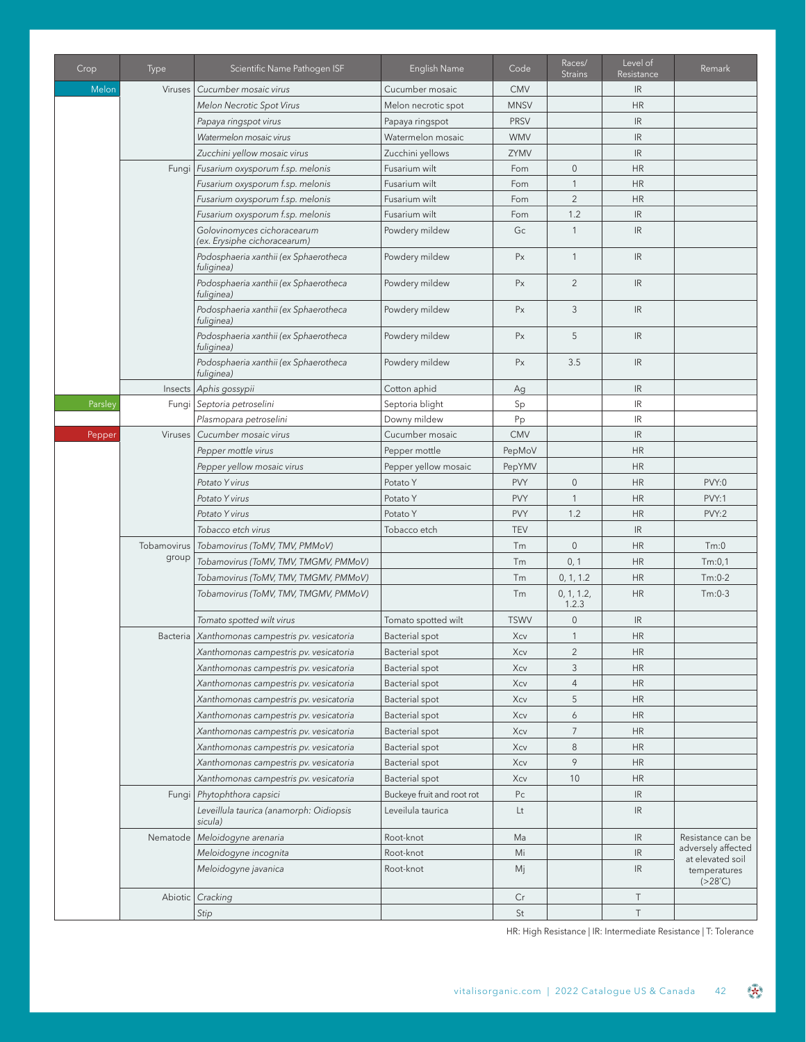| Crop    | <b>Type</b> | Scientific Name Pathogen ISF                                | English Name               | Code           | Races/<br><b>Strains</b> | Level of<br>Resistance            | Remark                                                |
|---------|-------------|-------------------------------------------------------------|----------------------------|----------------|--------------------------|-----------------------------------|-------------------------------------------------------|
| Melon   | Viruses     | Cucumber mosaic virus                                       | Cucumber mosaic            | <b>CMV</b>     |                          | IR                                |                                                       |
|         |             | Melon Necrotic Spot Virus                                   | Melon necrotic spot        | <b>MNSV</b>    |                          | <b>HR</b>                         |                                                       |
|         |             | Papaya ringspot virus                                       | Papaya ringspot            | <b>PRSV</b>    |                          | $\ensuremath{\mathsf{IR}}\xspace$ |                                                       |
|         |             | Watermelon mosaic virus                                     | Watermelon mosaic          | <b>WMV</b>     |                          | $\ensuremath{\mathsf{IR}}\xspace$ |                                                       |
|         |             | Zucchini yellow mosaic virus                                | Zucchini yellows           | ZYMV           |                          | $\ensuremath{\mathsf{IR}}\xspace$ |                                                       |
|         |             | Fungi Fusarium oxysporum f.sp. melonis                      | Fusarium wilt              | Fom            | $\mathbf 0$              | <b>HR</b>                         |                                                       |
|         |             | Fusarium oxysporum f.sp. melonis                            | Fusarium wilt              | Fom            | $\mathbf{1}$             | <b>HR</b>                         |                                                       |
|         |             | Fusarium oxysporum f.sp. melonis                            | Fusarium wilt              | Fom            | $\overline{2}$           | <b>HR</b>                         |                                                       |
|         |             | Fusarium oxysporum f.sp. melonis                            | Fusarium wilt              | Fom            | 1.2                      | $\ensuremath{\mathsf{IR}}\xspace$ |                                                       |
|         |             | Golovinomyces cichoracearum<br>(ex. Erysiphe cichoracearum) | Powdery mildew             | Gc             | $\mathbf{1}$             | $\ensuremath{\mathsf{IR}}\xspace$ |                                                       |
|         |             | Podosphaeria xanthii (ex Sphaerotheca<br>fuliginea)         | Powdery mildew             | Px             | $\mathbf{1}$             | $\ensuremath{\mathsf{IR}}\xspace$ |                                                       |
|         |             | Podosphaeria xanthii (ex Sphaerotheca<br>fuliginea)         | Powdery mildew             | Px             | $\overline{c}$           | $\ensuremath{\mathsf{IR}}\xspace$ |                                                       |
|         |             | Podosphaeria xanthii (ex Sphaerotheca<br>fuliginea)         | Powdery mildew             | Px             | 3                        | $\ensuremath{\mathsf{IR}}\xspace$ |                                                       |
|         |             | Podosphaeria xanthii (ex Sphaerotheca<br>fuliginea)         | Powdery mildew             | Px             | 5                        | IR                                |                                                       |
|         |             | Podosphaeria xanthii (ex Sphaerotheca<br>fuliginea)         | Powdery mildew             | Px             | 3.5                      | $\ensuremath{\mathsf{IR}}\xspace$ |                                                       |
|         | Insects     | Aphis gossypii                                              | Cotton aphid               | Ag             |                          | $\ensuremath{\mathsf{IR}}\xspace$ |                                                       |
| Parsley |             | Fungi Septoria petroselini                                  | Septoria blight            | Sp             |                          | IR                                |                                                       |
|         |             | Plasmopara petroselini                                      | Downy mildew               | Pp             |                          | IR                                |                                                       |
| Pepper  | Viruses     | Cucumber mosaic virus                                       | Cucumber mosaic            | <b>CMV</b>     |                          | $\ensuremath{\mathsf{IR}}\xspace$ |                                                       |
|         |             | Pepper mottle virus                                         | Pepper mottle              | PepMoV         |                          | <b>HR</b>                         |                                                       |
|         |             | Pepper yellow mosaic virus                                  | Pepper yellow mosaic       | PepYMV         |                          | <b>HR</b>                         |                                                       |
|         |             | Potato Y virus                                              | Potato Y                   | <b>PVY</b>     | $\mathbf 0$              | <b>HR</b>                         | PVY:0                                                 |
|         |             | Potato Y virus                                              | Potato Y                   | <b>PVY</b>     | $\mathbf{1}$             | <b>HR</b>                         | PVY:1                                                 |
|         |             | Potato Y virus                                              | Potato Y                   | <b>PVY</b>     | 1.2                      | <b>HR</b>                         | PVY:2                                                 |
|         |             | Tobacco etch virus                                          | Tobacco etch               | <b>TEV</b>     |                          | $\ensuremath{\mathsf{IR}}\xspace$ |                                                       |
|         |             | Tobamovirus   Tobamovirus (ToMV, TMV, PMMoV)                |                            | Tm             | $\mathbf 0$              | <b>HR</b>                         | Tm:0                                                  |
|         | group       | Tobamovirus (ToMV, TMV, TMGMV, PMMoV)                       |                            | Tm             | 0, 1                     | <b>HR</b>                         | Tm:0,1                                                |
|         |             | Tobamovirus (ToMV, TMV, TMGMV, PMMoV)                       |                            | Tm             | 0, 1, 1.2                | <b>HR</b>                         | $Tm:0-2$                                              |
|         |             | Tobamovirus (ToMV, TMV, TMGMV, PMMoV)                       |                            | Tm             | 0, 1, 1.2,<br>1.2.3      | <b>HR</b>                         | $Tm:0-3$                                              |
|         |             | Tomato spotted wilt virus                                   | Tomato spotted wilt        | <b>TSWV</b>    | $\mathbf 0$              | IR                                |                                                       |
|         |             | Bacteria   Xanthomonas campestris pv. vesicatoria           | Bacterial spot             | Xcv            | $\mathbf{1}$             | <b>HR</b>                         |                                                       |
|         |             | Xanthomonas campestris pv. vesicatoria                      | Bacterial spot             | Xcv            | $\overline{2}$           | <b>HR</b>                         |                                                       |
|         |             | Xanthomonas campestris pv. vesicatoria                      | Bacterial spot             | Xcv            | 3                        | <b>HR</b>                         |                                                       |
|         |             | Xanthomonas campestris pv. vesicatoria                      | Bacterial spot             | Xcv            | 4                        | <b>HR</b>                         |                                                       |
|         |             | Xanthomonas campestris pv. vesicatoria                      | Bacterial spot             | Xcv            | 5                        | <b>HR</b>                         |                                                       |
|         |             | Xanthomonas campestris pv. vesicatoria                      | Bacterial spot             | Xcv            | 6                        | <b>HR</b>                         |                                                       |
|         |             | Xanthomonas campestris pv. vesicatoria                      | Bacterial spot             | Xcv            | $\overline{7}$           | <b>HR</b>                         |                                                       |
|         |             | Xanthomonas campestris pv. vesicatoria                      | Bacterial spot             | Xcv            | 8                        | <b>HR</b>                         |                                                       |
|         |             | Xanthomonas campestris pv. vesicatoria                      | Bacterial spot             | Xcv            | 9                        | <b>HR</b>                         |                                                       |
|         |             | Xanthomonas campestris pv. vesicatoria                      | Bacterial spot             | Xcv            | 10                       | <b>HR</b>                         |                                                       |
|         | Fungi       | Phytophthora capsici                                        | Buckeye fruit and root rot | P <sub>C</sub> |                          | IR                                |                                                       |
|         |             | Leveillula taurica (anamorph: Oidiopsis<br>sicula)          | Leveilula taurica          | Lt             |                          | IR                                |                                                       |
|         |             | Nematode   Meloidogyne arenaria                             | Root-knot                  | Ma             |                          | IR                                | Resistance can be                                     |
|         |             | Meloidogyne incognita                                       | Root-knot                  | Mi             |                          | IR                                | adversely affected                                    |
|         |             | Meloidogyne javanica                                        | Root-knot                  | Mj             |                          | IR                                | at elevated soil<br>temperatures<br>$( >28^{\circ}C)$ |
|         |             | Abiotic   Cracking                                          |                            | Cr             |                          | Τ                                 |                                                       |
|         |             | Stip                                                        |                            | St             |                          | $\top$                            |                                                       |

HR: High Resistance | IR: Intermediate Resistance | T: Tolerance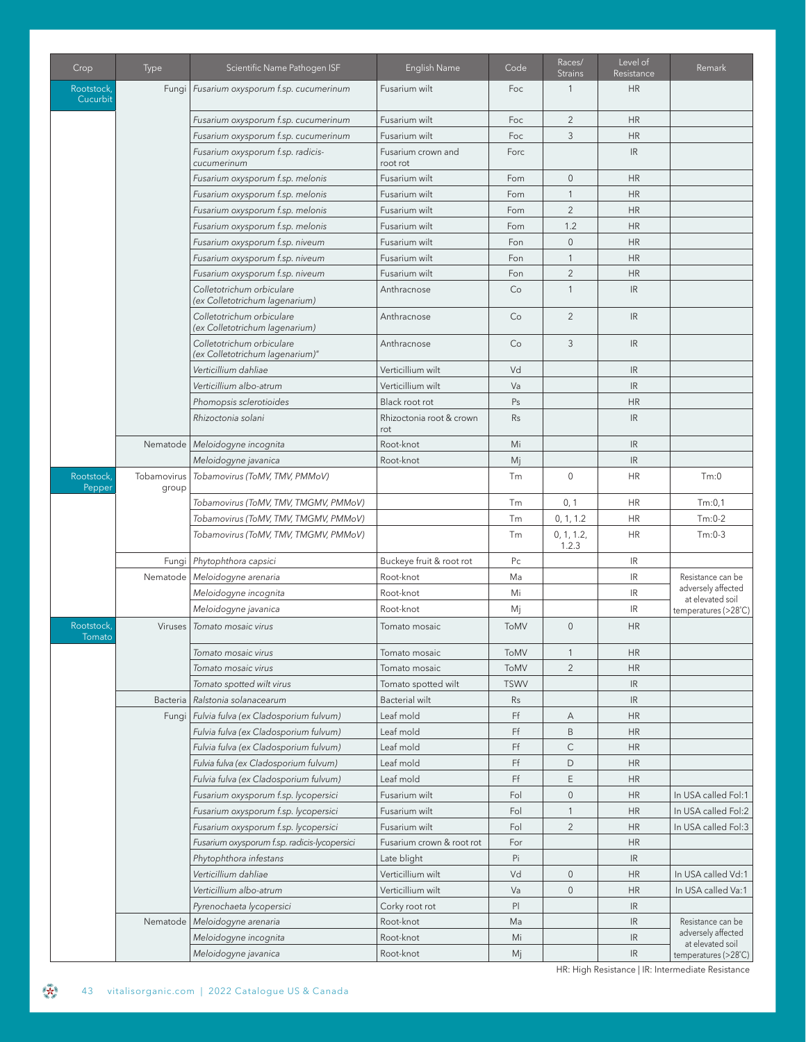| Crop                   | <b>Type</b>          | Scientific Name Pathogen ISF                                 | English Name                    | Code        | Races/<br><b>Strains</b> | Level of<br>Resistance            | Remark                                 |
|------------------------|----------------------|--------------------------------------------------------------|---------------------------------|-------------|--------------------------|-----------------------------------|----------------------------------------|
| Rootstock,<br>Cucurbit | Fungi                | Fusarium oxysporum f.sp. cucumerinum                         | Fusarium wilt                   | Foc         | $\mathbf{1}$             | <b>HR</b>                         |                                        |
|                        |                      | Fusarium oxysporum f.sp. cucumerinum                         | Fusarium wilt                   | Foc         | $\overline{2}$           | <b>HR</b>                         |                                        |
|                        |                      | Fusarium oxysporum f.sp. cucumerinum                         | Fusarium wilt                   | Foc         | 3                        | <b>HR</b>                         |                                        |
|                        |                      | Fusarium oxysporum f.sp. radicis-<br>cucumerinum             | Fusarium crown and<br>root rot  | Forc        |                          | IR                                |                                        |
|                        |                      | Fusarium oxysporum f.sp. melonis                             | Fusarium wilt                   | Fom         | $\mathsf{O}\xspace$      | <b>HR</b>                         |                                        |
|                        |                      | Fusarium oxysporum f.sp. melonis                             | Fusarium wilt                   | Fom         | $\mathbf{1}$             | <b>HR</b>                         |                                        |
|                        |                      | Fusarium oxysporum f.sp. melonis                             | Fusarium wilt                   | Fom         | $\overline{2}$           | <b>HR</b>                         |                                        |
|                        |                      | Fusarium oxysporum f.sp. melonis                             | Fusarium wilt                   | Fom         | 1.2                      | <b>HR</b>                         |                                        |
|                        |                      | Fusarium oxysporum f.sp. niveum                              | Fusarium wilt                   | Fon         | $\mathbf 0$              | <b>HR</b>                         |                                        |
|                        |                      | Fusarium oxysporum f.sp. niveum                              | Fusarium wilt                   | Fon         | $\mathbf{1}$             | <b>HR</b>                         |                                        |
|                        |                      | Fusarium oxysporum f.sp. niveum                              | Fusarium wilt                   | Fon         | $\overline{2}$           | <b>HR</b>                         |                                        |
|                        |                      | Colletotrichum orbiculare<br>(ex Colletotrichum lagenarium)  | Anthracnose                     | Co          | $\mathbf{1}$             | $\ensuremath{\mathsf{IR}}\xspace$ |                                        |
|                        |                      | Colletotrichum orbiculare<br>(ex Colletotrichum lagenarium)  | Anthracnose                     | Co          | $\overline{2}$           | $\ensuremath{\mathsf{IR}}\xspace$ |                                        |
|                        |                      | Colletotrichum orbiculare<br>(ex Colletotrichum lagenarium)" | Anthracnose                     | Co          | 3                        | IR.                               |                                        |
|                        |                      | Verticillium dahliae                                         | Verticillium wilt               | Vd          |                          | IR                                |                                        |
|                        |                      | Verticillium albo-atrum                                      | Verticillium wilt               | Va          |                          | IR                                |                                        |
|                        |                      | Phomopsis sclerotioides                                      | Black root rot                  | Ps          |                          | <b>HR</b>                         |                                        |
|                        |                      | Rhizoctonia solani                                           | Rhizoctonia root & crown<br>rot | Rs          |                          | IR                                |                                        |
|                        |                      | Nematode   Meloidogyne incognita                             | Root-knot                       | Mi          |                          | $\ensuremath{\mathsf{IR}}\xspace$ |                                        |
|                        |                      | Meloidogyne javanica                                         | Root-knot                       | Mj          |                          | $\ensuremath{\mathsf{IR}}\xspace$ |                                        |
| Rootstock,<br>Pepper   | Tobamovirus<br>group | Tobamovirus (ToMV, TMV, PMMoV)                               |                                 | Tm          | $\mathbf 0$              | <b>HR</b>                         | Tm:0                                   |
|                        |                      | Tobamovirus (ToMV, TMV, TMGMV, PMMoV)                        |                                 | Tm          | 0, 1                     | <b>HR</b>                         | Tm:0,1                                 |
|                        |                      | Tobamovirus (ToMV, TMV, TMGMV, PMMoV)                        |                                 | Tm          | 0, 1, 1.2                | <b>HR</b>                         | $Tm:0-2$                               |
|                        |                      | Tobamovirus (ToMV, TMV, TMGMV, PMMoV)                        |                                 | Tm          | 0, 1, 1.2,<br>1.2.3      | <b>HR</b>                         | $Tm:0-3$                               |
|                        | Fungi                | Phytophthora capsici                                         | Buckeye fruit & root rot        | Pc          |                          | $\ensuremath{\mathsf{IR}}\xspace$ |                                        |
|                        | Nematode             | Meloidogyne arenaria                                         | Root-knot                       | Ma          |                          | $\ensuremath{\mathsf{IR}}\xspace$ | Resistance can be                      |
|                        |                      | Meloidogyne incognita                                        | Root-knot                       | Mi          |                          | $\ensuremath{\mathsf{IR}}\xspace$ | adversely affected<br>at elevated soil |
|                        |                      | Meloidogyne javanica                                         | Root-knot                       | Mj          |                          | $\ensuremath{\mathsf{IR}}\xspace$ | temperatures (>28°C)                   |
| Rootstock.<br>Tomato   | Viruses              | Tomato mosaic virus                                          | Tomato mosaic                   | ToMV        | $\overline{0}$           | <b>HR</b>                         |                                        |
|                        |                      | Tomato mosaic virus                                          | Tomato mosaic                   | ToMV        | $\mathbf{1}$             | <b>HR</b>                         |                                        |
|                        |                      | Tomato mosaic virus                                          | Tomato mosaic                   | ToMV        | $\overline{c}$           | <b>HR</b>                         |                                        |
|                        |                      | Tomato spotted wilt virus                                    | Tomato spotted wilt             | <b>TSWV</b> |                          | IR                                |                                        |
|                        | Bacteria             | Ralstonia solanacearum                                       | <b>Bacterial wilt</b>           | Rs          |                          | IR                                |                                        |
|                        | Fungi                | Fulvia fulva (ex Cladosporium fulvum)                        | Leaf mold                       | Ff          | Α                        | <b>HR</b>                         |                                        |
|                        |                      | Fulvia fulva (ex Cladosporium fulvum)                        | Leaf mold                       | Ff          | B                        | <b>HR</b>                         |                                        |
|                        |                      | Fulvia fulva (ex Cladosporium fulvum)                        | Leaf mold                       | Ff          | $\mathsf{C}$             | <b>HR</b>                         |                                        |
|                        |                      | Fulvia fulva (ex Cladosporium fulvum)                        | Leaf mold                       | Ff          | $\mathsf D$              | <b>HR</b>                         |                                        |
|                        |                      | Fulvia fulva (ex Cladosporium fulvum)                        | Leaf mold                       | Ff          | E                        | <b>HR</b>                         |                                        |
|                        |                      | Fusarium oxysporum f.sp. lycopersici                         | Fusarium wilt                   | Fol         | $\mathbf 0$              | <b>HR</b>                         | In USA called Fol:1                    |
|                        |                      | Fusarium oxysporum f.sp. lycopersici                         | Fusarium wilt                   | Fol         | $\mathbf{1}$             | <b>HR</b>                         | In USA called Fol:2                    |
|                        |                      | Fusarium oxysporum f.sp. lycopersici                         | Fusarium wilt                   | Fol         | $\overline{2}$           | <b>HR</b>                         | In USA called Fol:3                    |
|                        |                      | Fusarium oxysporum f.sp. radicis-lycopersici                 | Fusarium crown & root rot       | For         |                          | <b>HR</b>                         |                                        |
|                        |                      | Phytophthora infestans                                       | Late blight                     | Pi          |                          | IR                                |                                        |
|                        |                      | Verticillium dahliae                                         | Verticillium wilt               | Vd          | $\mathbf 0$              | <b>HR</b>                         | In USA called Vd:1                     |
|                        |                      | Verticillium albo-atrum                                      | Verticillium wilt               | Va          | $\mathsf{O}\xspace$      | <b>HR</b>                         | In USA called Va:1                     |
|                        |                      | Pyrenochaeta lycopersici                                     | Corky root rot                  | P           |                          | IR                                |                                        |
|                        | Nematode             | Meloidogyne arenaria                                         | Root-knot                       | Ma          |                          | IR                                | Resistance can be                      |
|                        |                      | Meloidogyne incognita                                        | Root-knot                       | Mi          |                          | IR                                | adversely affected<br>at elevated soil |
|                        |                      | Meloidogyne javanica                                         | Root-knot                       | Mj          |                          | $\ensuremath{\mathsf{IR}}\xspace$ | temperatures (>28°C)                   |

HR: High Resistance | IR: Intermediate Resistance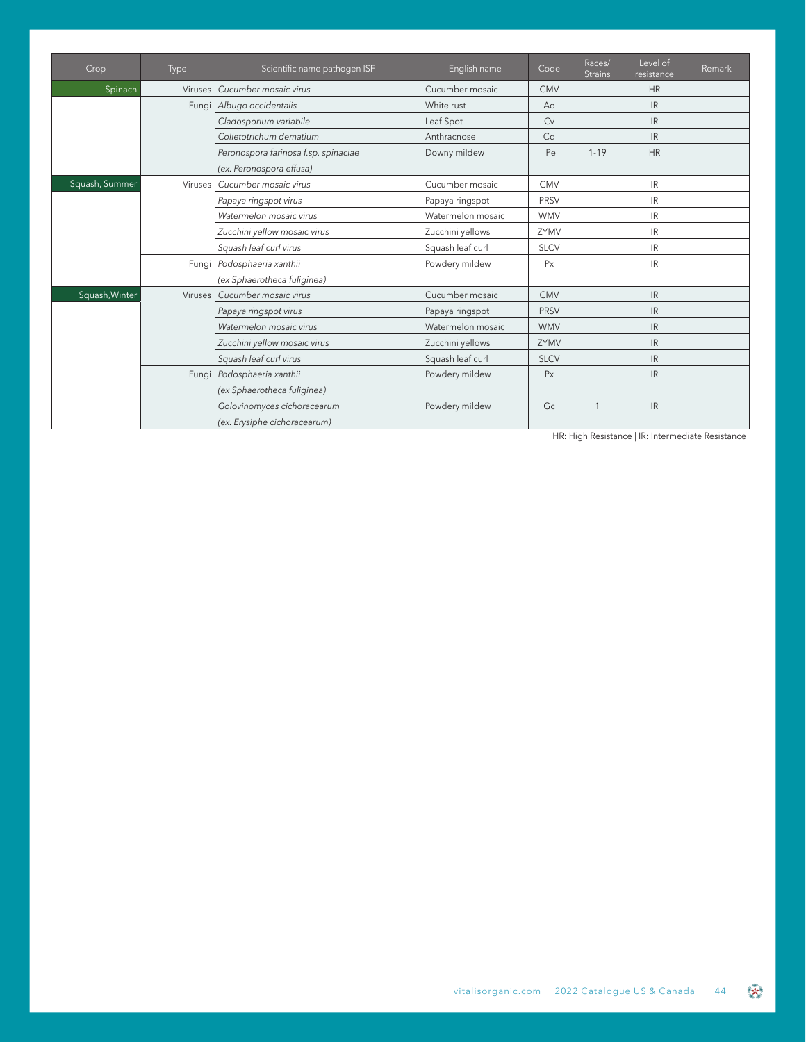| Crop           | <b>Type</b> | Scientific name pathogen ISF                                     | English name      | Code           | Races/<br><b>Strains</b> | Level of<br>resistance | Remark |
|----------------|-------------|------------------------------------------------------------------|-------------------|----------------|--------------------------|------------------------|--------|
| Spinach        | Viruses     | Cucumber mosaic virus                                            | Cucumber mosaic   | <b>CMV</b>     |                          | <b>HR</b>              |        |
|                |             | Fungi Albugo occidentalis                                        | White rust        | A <sub>0</sub> |                          | <b>IR</b>              |        |
|                |             | Cladosporium variabile                                           | Leaf Spot         | Cv             |                          | IR                     |        |
|                |             | Colletotrichum dematium                                          | Anthracnose       | C <sub>d</sub> |                          | IR                     |        |
|                |             | Peronospora farinosa f.sp. spinaciae<br>(ex. Peronospora effusa) | Downy mildew      | Pe             | $1 - 19$                 | <b>HR</b>              |        |
| Squash, Summer |             | Viruses   Cucumber mosaic virus                                  | Cucumber mosaic   | <b>CMV</b>     |                          | IR.                    |        |
|                |             | Papaya ringspot virus                                            | Papaya ringspot   | <b>PRSV</b>    |                          | <b>IR</b>              |        |
|                |             | Watermelon mosaic virus                                          | Watermelon mosaic | <b>WMV</b>     |                          | IR.                    |        |
|                |             | Zucchini yellow mosaic virus                                     | Zucchini yellows  | ZYMV           |                          | <b>IR</b>              |        |
|                |             | Squash leaf curl virus                                           | Squash leaf curl  | <b>SLCV</b>    |                          | <b>IR</b>              |        |
|                |             | Fungi Podosphaeria xanthii<br>(ex Sphaerotheca fuliginea)        | Powdery mildew    | Px             |                          | <b>IR</b>              |        |
| Squash, Winter |             | Viruses   Cucumber mosaic virus                                  | Cucumber mosaic   | <b>CMV</b>     |                          | IR                     |        |
|                |             | Papaya ringspot virus                                            | Papaya ringspot   | <b>PRSV</b>    |                          | IR                     |        |
|                |             | Watermelon mosaic virus                                          | Watermelon mosaic | <b>WMV</b>     |                          | IR.                    |        |
|                |             | Zucchini yellow mosaic virus                                     | Zucchini yellows  | ZYMV           |                          | IR.                    |        |
|                |             | Squash leaf curl virus                                           | Squash leaf curl  | <b>SLCV</b>    |                          | IR.                    |        |
|                |             | Fungi Podosphaeria xanthii<br>(ex Sphaerotheca fuliginea)        | Powdery mildew    | Px             |                          | <b>IR</b>              |        |
|                |             | Golovinomyces cichoracearum<br>(ex. Erysiphe cichoracearum)      | Powdery mildew    | Gc             | 1                        | <b>IR</b>              |        |

HR: High Resistance | IR: Intermediate Resistance